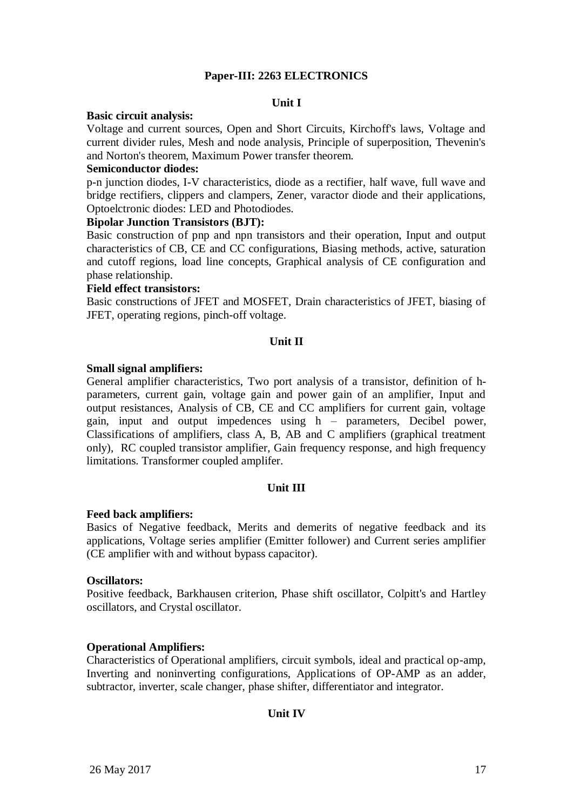## **Paper-III: 2263 ELECTRONICS**

### **Unit I**

### **Basic circuit analysis:**

Voltage and current sources, Open and Short Circuits, Kirchoff's laws, Voltage and current divider rules, Mesh and node analysis, Principle of superposition, Thevenin's and Norton's theorem, Maximum Power transfer theorem.

### **Semiconductor diodes:**

p-n junction diodes, I-V characteristics, diode as a rectifier, half wave, full wave and bridge rectifiers, clippers and clampers, Zener, varactor diode and their applications, Optoelctronic diodes: LED and Photodiodes.

### **Bipolar Junction Transistors (BJT):**

Basic construction of pnp and npn transistors and their operation, Input and output characteristics of CB, CE and CC configurations, Biasing methods, active, saturation and cutoff regions, load line concepts, Graphical analysis of CE configuration and phase relationship.

### **Field effect transistors:**

Basic constructions of JFET and MOSFET, Drain characteristics of JFET, biasing of JFET, operating regions, pinch-off voltage.

## **Unit II**

## **Small signal amplifiers:**

General amplifier characteristics, Two port analysis of a transistor, definition of hparameters, current gain, voltage gain and power gain of an amplifier, Input and output resistances, Analysis of CB, CE and CC amplifiers for current gain, voltage gain, input and output impedences using h – parameters, Decibel power, Classifications of amplifiers, class A, B, AB and C amplifiers (graphical treatment only), RC coupled transistor amplifier, Gain frequency response, and high frequency limitations. Transformer coupled amplifer.

## **Unit III**

## **Feed back amplifiers:**

Basics of Negative feedback, Merits and demerits of negative feedback and its applications, Voltage series amplifier (Emitter follower) and Current series amplifier (CE amplifier with and without bypass capacitor).

#### **Oscillators:**

Positive feedback, Barkhausen criterion, Phase shift oscillator, Colpitt's and Hartley oscillators, and Crystal oscillator.

## **Operational Amplifiers:**

Characteristics of Operational amplifiers, circuit symbols, ideal and practical op-amp, Inverting and noninverting configurations, Applications of OP-AMP as an adder, subtractor, inverter, scale changer, phase shifter, differentiator and integrator.

## **Unit IV**